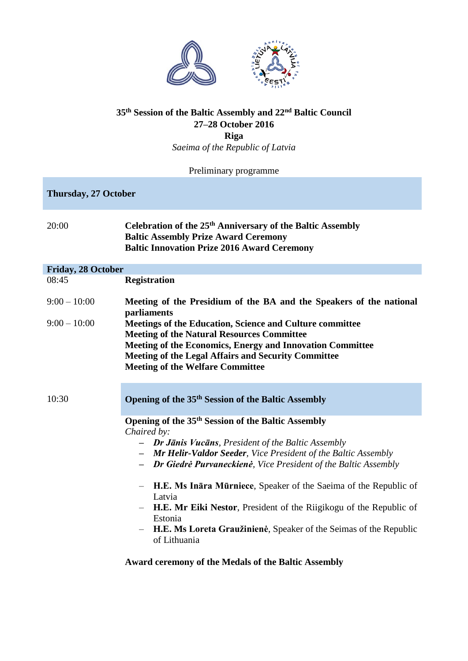

## **35th Session of the Baltic Assembly and 22nd Baltic Council 27–28 October 2016**

**Riga**

*Saeima of the Republic of Latvia*

Preliminary programme

**Thursday, 27 October**

| Celebration of the 25 <sup>th</sup> Anniversary of the Baltic Assembly |
|------------------------------------------------------------------------|
| <b>Baltic Assembly Prize Award Ceremony</b>                            |
| <b>Baltic Innovation Prize 2016 Award Ceremony</b>                     |
|                                                                        |

## **Friday, 28 October**

08:45 **Registration**

| $9:00 - 10:00$<br>$9:00 - 10:00$ | Meeting of the Presidium of the BA and the Speakers of the national<br>parliaments<br>Meetings of the Education, Science and Culture committee<br><b>Meeting of the Natural Resources Committee</b><br>Meeting of the Economics, Energy and Innovation Committee<br><b>Meeting of the Legal Affairs and Security Committee</b><br><b>Meeting of the Welfare Committee</b>                                                                                        |
|----------------------------------|------------------------------------------------------------------------------------------------------------------------------------------------------------------------------------------------------------------------------------------------------------------------------------------------------------------------------------------------------------------------------------------------------------------------------------------------------------------|
| 10:30                            | Opening of the 35 <sup>th</sup> Session of the Baltic Assembly                                                                                                                                                                                                                                                                                                                                                                                                   |
|                                  | Opening of the 35 <sup>th</sup> Session of the Baltic Assembly<br>Chaired by:<br>- Dr Jānis Vucāns, President of the Baltic Assembly<br>- <b>Mr Helir-Valdor Seeder</b> , Vice President of the Baltic Assembly<br>- Dr Giedrė Purvaneckienė, Vice President of the Baltic Assembly<br><b>H.E. Ms Inara Murniece, Speaker of the Saeima of the Republic of</b><br>Latvia<br><b>H.E. Mr Eiki Nestor, President of the Riigikogu of the Republic of</b><br>Estonia |

– **H.E. Ms Loreta Graužinienė**, Speaker of the Seimas of the Republic of Lithuania

## **Award ceremony of the Medals of the Baltic Assembly**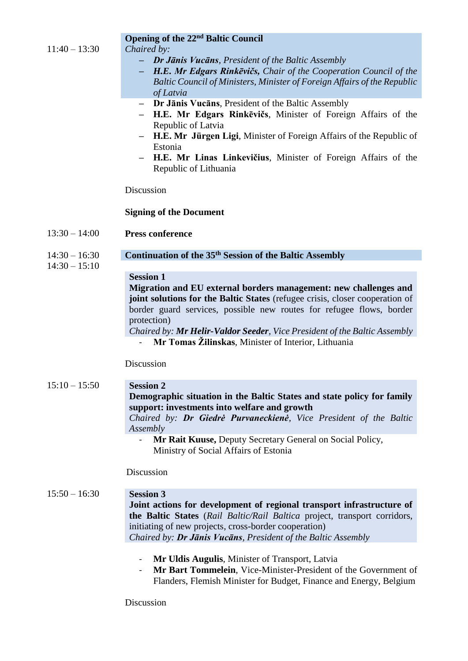|                 | <b>Opening of the 22<sup>nd</sup> Baltic Council</b>                                                                                          |
|-----------------|-----------------------------------------------------------------------------------------------------------------------------------------------|
| $11:40 - 13:30$ | Chaired by:                                                                                                                                   |
|                 | Dr Jānis Vucāns, President of the Baltic Assembly<br>н.                                                                                       |
|                 | H.E. Mr Edgars Rinkevičs, Chair of the Cooperation Council of the<br>Baltic Council of Ministers, Minister of Foreign Affairs of the Republic |
|                 | of Latvia                                                                                                                                     |
|                 | - Dr Jānis Vucāns, President of the Baltic Assembly                                                                                           |
|                 | H.E. Mr Edgars Rinkevičs, Minister of Foreign Affairs of the                                                                                  |
|                 | Republic of Latvia                                                                                                                            |
|                 | H.E. Mr Jürgen Ligi, Minister of Foreign Affairs of the Republic of<br>Estonia                                                                |
|                 | H.E. Mr Linas Linkevičius, Minister of Foreign Affairs of the                                                                                 |
|                 | Republic of Lithuania                                                                                                                         |
|                 | Discussion                                                                                                                                    |
|                 | <b>Signing of the Document</b>                                                                                                                |
| $13:30 - 14:00$ | <b>Press conference</b>                                                                                                                       |
| $14:30 - 16:30$ | Continuation of the 35 <sup>th</sup> Session of the Baltic Assembly                                                                           |
| $14:30 - 15:10$ |                                                                                                                                               |
|                 | <b>Session 1</b>                                                                                                                              |
|                 | Migration and EU external borders management: new challenges and                                                                              |
|                 | joint solutions for the Baltic States (refugee crisis, closer cooperation of                                                                  |
|                 | border guard services, possible new routes for refugee flows, border<br>protection)                                                           |
|                 | Chaired by: Mr Helir-Valdor Seeder, Vice President of the Baltic Assembly                                                                     |
|                 | Mr Tomas Žilinskas, Minister of Interior, Lithuania                                                                                           |
|                 |                                                                                                                                               |
|                 | Discussion                                                                                                                                    |
| $15:10 - 15:50$ | <b>Session 2</b>                                                                                                                              |
|                 | Demographic situation in the Baltic States and state policy for family                                                                        |
|                 | support: investments into welfare and growth                                                                                                  |
|                 | Chaired by: Dr Giedrė Purvaneckienė, Vice President of the Baltic                                                                             |
|                 | Assembly<br>Mr Rait Kuuse, Deputy Secretary General on Social Policy,                                                                         |
|                 | Ministry of Social Affairs of Estonia                                                                                                         |
|                 | Discussion                                                                                                                                    |
| $15:50 - 16:30$ | <b>Session 3</b>                                                                                                                              |
|                 | Joint actions for development of regional transport infrastructure of                                                                         |
|                 | the Baltic States (Rail Baltic/Rail Baltica project, transport corridors,                                                                     |
|                 | initiating of new projects, cross-border cooperation)                                                                                         |
|                 | Chaired by: Dr Jānis Vucāns, President of the Baltic Assembly                                                                                 |
|                 | Mr Uldis Augulis, Minister of Transport, Latvia<br>$\blacksquare$                                                                             |
|                 | Mr Bart Tommelein, Vice-Minister-President of the Government of                                                                               |
|                 | Flanders, Flemish Minister for Budget, Finance and Energy, Belgium                                                                            |
|                 | Discussion                                                                                                                                    |